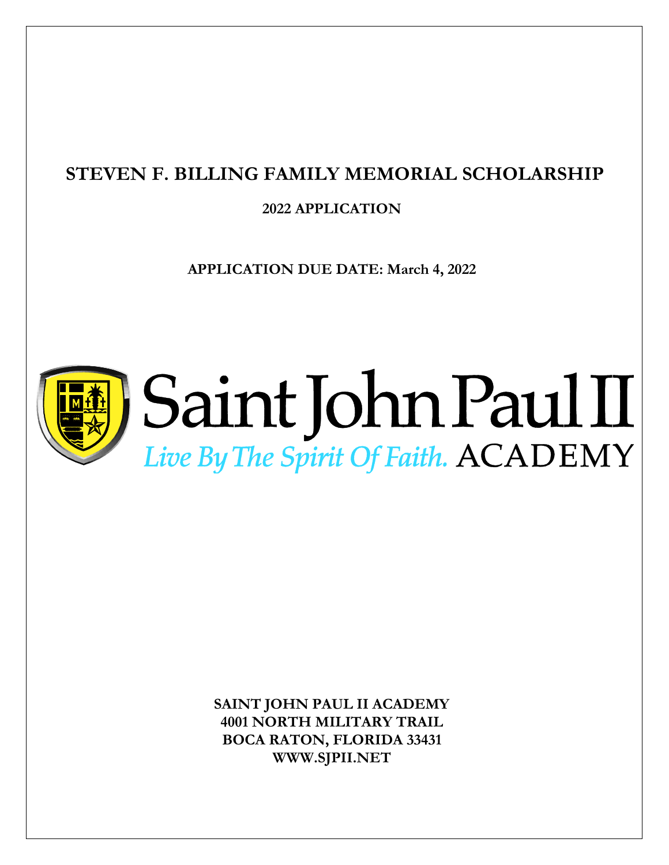## **STEVEN F. BILLING FAMILY MEMORIAL SCHOLARSHIP**

**2022 APPLICATION** 

**APPLICATION DUE DATE: March 4, 2022**



# Saint John Paul II Live By The Spirit Of Faith. ACADEMY

**SAINT JOHN PAUL II ACADEMY 4001 NORTH MILITARY TRAIL BOCA RATON, FLORIDA 33431 WWW.SJPII.NET**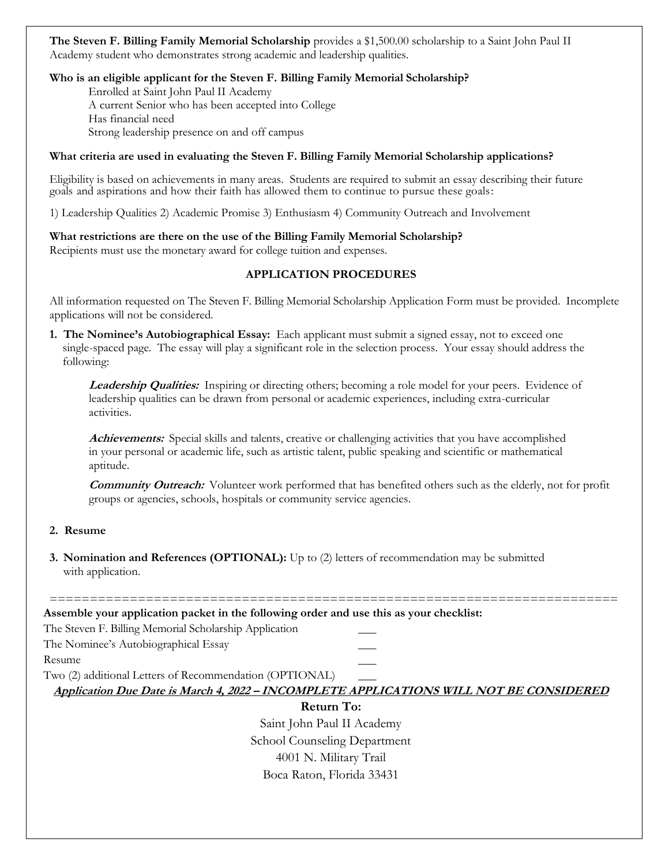**The Steven F. Billing Family Memorial Scholarship** provides a \$1,500.00 scholarship to a Saint John Paul II Academy student who demonstrates strong academic and leadership qualities.

#### **Who is an eligible applicant for the Steven F. Billing Family Memorial Scholarship?**

Enrolled at Saint John Paul II Academy A current Senior who has been accepted into College Has financial need Strong leadership presence on and off campus

#### **What criteria are used in evaluating the Steven F. Billing Family Memorial Scholarship applications?**

Eligibility is based on achievements in many areas. Students are required to submit an essay describing their future goals and aspirations and how their faith has allowed them to continue to pursue these goals:

1) Leadership Qualities 2) Academic Promise 3) Enthusiasm 4) Community Outreach and Involvement

#### **What restrictions are there on the use of the Billing Family Memorial Scholarship?**

Recipients must use the monetary award for college tuition and expenses.

#### **APPLICATION PROCEDURES**

All information requested on The Steven F. Billing Memorial Scholarship Application Form must be provided. Incomplete applications will not be considered.

**1. The Nominee's Autobiographical Essay:** Each applicant must submit a signed essay, not to exceed one single-spaced page. The essay will play a significant role in the selection process. Your essay should address the following:

**Leadership Qualities:** Inspiring or directing others; becoming a role model for your peers. Evidence of leadership qualities can be drawn from personal or academic experiences, including extra-curricular activities.

**Achievements:** Special skills and talents, creative or challenging activities that you have accomplished in your personal or academic life, such as artistic talent, public speaking and scientific or mathematical aptitude.

**Community Outreach:** Volunteer work performed that has benefited others such as the elderly, not for profit groups or agencies, schools, hospitals or community service agencies.

#### **2. Resume**

**3. Nomination and References (OPTIONAL):** Up to (2) letters of recommendation may be submitted with application.

======================================================================= **Assemble your application packet in the following order and use this as your checklist:**

The Steven F. Billing Memorial Scholarship Application \_\_\_

The Nominee's Autobiographical Essay \_\_\_

Resume that the set of the set of the set of the set of the set of the set of the set of the set of the set of the set of the set of the set of the set of the set of the set of the set of the set of the set of the set of t

Two (2) additional Letters of Recommendation (OPTIONAL) \_\_\_

**Application Due Date is March 4, 2022 – INCOMPLETE APPLICATIONS WILL NOT BE CONSIDERED**

#### **Return To:**

Saint John Paul II Academy School Counseling Department 4001 N. Military Trail Boca Raton, Florida 33431